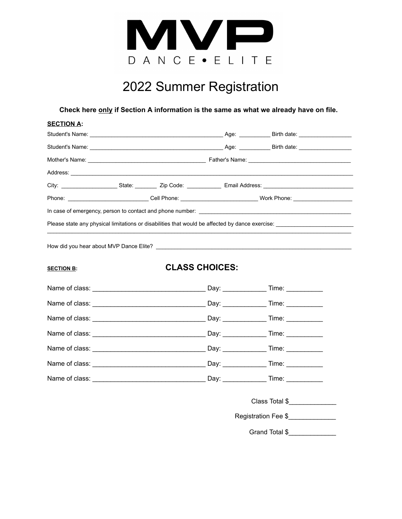

## 2022 Summer Registration

**Check here only if Section A information is the same as what we already have on file.**

| <b>SECTION A:</b> |  |  |                                                                                           |                                                                                                                |  |
|-------------------|--|--|-------------------------------------------------------------------------------------------|----------------------------------------------------------------------------------------------------------------|--|
|                   |  |  |                                                                                           |                                                                                                                |  |
|                   |  |  |                                                                                           |                                                                                                                |  |
|                   |  |  |                                                                                           |                                                                                                                |  |
|                   |  |  |                                                                                           |                                                                                                                |  |
|                   |  |  | City: _______________________State: ______________Zip Code: _______________Email Address: |                                                                                                                |  |
|                   |  |  |                                                                                           | Phone: _______________________________Cell Phone: ______________________________Work Phone: __________________ |  |
|                   |  |  |                                                                                           |                                                                                                                |  |
|                   |  |  |                                                                                           | Please state any physical limitations or disabilities that would be affected by dance exercise: ______________ |  |
| <b>SECTION B:</b> |  |  | <b>CLASS CHOICES:</b>                                                                     |                                                                                                                |  |
|                   |  |  |                                                                                           |                                                                                                                |  |
|                   |  |  |                                                                                           |                                                                                                                |  |
|                   |  |  |                                                                                           |                                                                                                                |  |
|                   |  |  |                                                                                           |                                                                                                                |  |
|                   |  |  |                                                                                           |                                                                                                                |  |
|                   |  |  |                                                                                           |                                                                                                                |  |
|                   |  |  |                                                                                           |                                                                                                                |  |

Class Total \$\_\_\_\_\_\_\_\_\_\_\_\_\_

Registration Fee \$\_\_\_\_\_\_\_\_\_\_\_\_\_\_\_

Grand Total \$\_\_\_\_\_\_\_\_\_\_\_\_\_\_\_\_